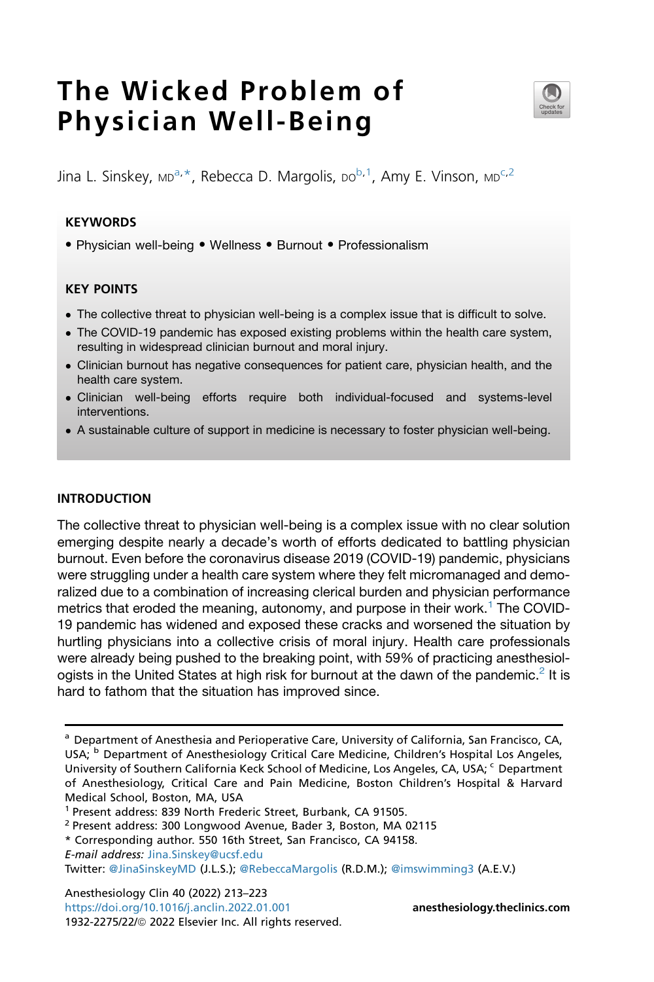# The Wicked Problem of Physician Well-Being



 $\lim_{\Delta}$  L. Sinskey, MD<sup>276</sup>, Re[b](#page-0-2)ecca D. Margolis, DO<sup>276</sup>, Amy E. Vinson, MD<sup>272</sup>

## **KEYWORDS**

• Physician well-being • Wellness • Burnout • Professionalism

## KEY POINTS

- The collective threat to physician well-being is a complex issue that is difficult to solve.
- The COVID-19 pandemic has exposed existing problems within the health care system, resulting in widespread clinician burnout and moral injury.
- Clinician burnout has negative consequences for patient care, physician health, and the health care system.
- Clinician well-being efforts require both individual-focused and systems-level interventions.
- A sustainable culture of support in medicine is necessary to foster physician well-being.

#### INTRODUCTION

The collective threat to physician well-being is a complex issue with no clear solution emerging despite nearly a decade's worth of efforts dedicated to battling physician burnout. Even before the coronavirus disease 2019 (COVID-19) pandemic, physicians were struggling under a health care system where they felt micromanaged and demoralized due to a combination of increasing clerical burden and physician performance metrics that eroded the meaning, autonomy, and purpose in their work.<sup>[1](#page-8-0)</sup> The COVID-19 pandemic has widened and exposed these cracks and worsened the situation by hurtling physicians into a collective crisis of moral injury. Health care professionals were already being pushed to the breaking point, with 59% of practicing anesthesiol-ogists in the United States at high risk for burnout at the dawn of the pandemic.<sup>[2](#page-8-1)</sup> It is hard to fathom that the situation has improved since.

Anesthesiology Clin 40 (2022) 213–223 <https://doi.org/10.1016/j.anclin.2022.01.001> **[anesthesiology.theclinics.com](http://anesthesiology.theclinics.com)** 1932-2275/22/@ 2022 Elsevier Inc. All rights reserved.

<span id="page-0-3"></span><span id="page-0-2"></span><span id="page-0-0"></span><sup>&</sup>lt;sup>a</sup> Department of Anesthesia and Perioperative Care, University of California, San Francisco, CA, USA; <sup>b</sup> Department of Anesthesiology Critical Care Medicine, Children's Hospital Los Angeles, University of Southern California Keck School of Medicine, Los Angeles, CA, USA; <sup>c</sup> Department of Anesthesiology, Critical Care and Pain Medicine, Boston Children's Hospital & Harvard Medical School, Boston, MA, USA

<sup>1</sup> Present address: 839 North Frederic Street, Burbank, CA 91505.

<sup>2</sup> Present address: 300 Longwood Avenue, Bader 3, Boston, MA 02115

<span id="page-0-1"></span><sup>\*</sup> Corresponding author. 550 16th Street, San Francisco, CA 94158.

E-mail address: [Jina.Sinskey@ucsf.edu](mailto:Jina.Sinskey@ucsf.edu)

Twitter: [@JinaSinskeyMD](https://twitter.com/@JinaSinskeyMD) (J.L.S.); [@RebeccaMargolis](https://twitter.com/@RebeccaMargolis) (R.D.M.); [@imswimming3](https://twitter.com/@imswimming3) (A.E.V.)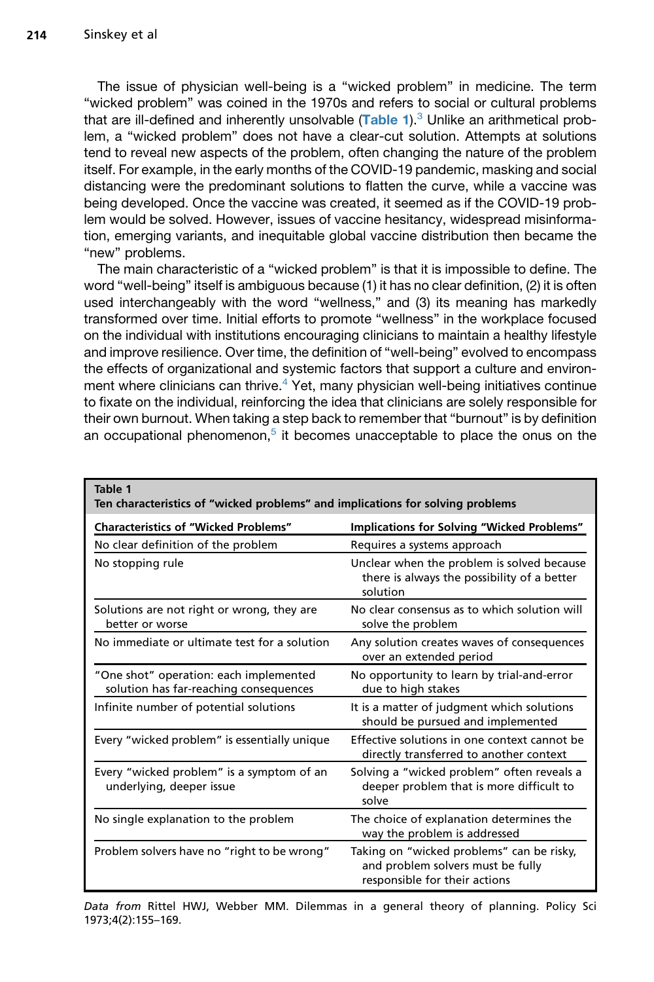The issue of physician well-being is a "wicked problem" in medicine. The term "wicked problem" was coined in the 1970s and refers to social or cultural problems that are ill-defined and inherently unsolvable  $(Table 1)$  $(Table 1)$  $(Table 1)$ .<sup>[3](#page-8-2)</sup> Unlike an arithmetical problem, a "wicked problem" does not have a clear-cut solution. Attempts at solutions tend to reveal new aspects of the problem, often changing the nature of the problem itself. For example, in the early months of the COVID-19 pandemic, masking and social distancing were the predominant solutions to flatten the curve, while a vaccine was being developed. Once the vaccine was created, it seemed as if the COVID-19 problem would be solved. However, issues of vaccine hesitancy, widespread misinformation, emerging variants, and inequitable global vaccine distribution then became the "new" problems.

The main characteristic of a "wicked problem" is that it is impossible to define. The word "well-being" itself is ambiguous because (1) it has no clear definition, (2) it is often used interchangeably with the word "wellness," and (3) its meaning has markedly transformed over time. Initial efforts to promote "wellness" in the workplace focused on the individual with institutions encouraging clinicians to maintain a healthy lifestyle and improve resilience. Over time, the definition of "well-being" evolved to encompass the effects of organizational and systemic factors that support a culture and environment where clinicians can thrive.[4](#page-8-3) Yet, many physician well-being initiatives continue to fixate on the individual, reinforcing the idea that clinicians are solely responsible for their own burnout. When taking a step back to remember that "burnout" is by definition an occupational phenomenon,<sup>[5](#page-8-4)</sup> it becomes unacceptable to place the onus on the

<span id="page-1-0"></span>

| Table 1<br>Ten characteristics of "wicked problems" and implications for solving problems |                                                                                                                 |
|-------------------------------------------------------------------------------------------|-----------------------------------------------------------------------------------------------------------------|
| <b>Characteristics of "Wicked Problems"</b>                                               | Implications for Solving "Wicked Problems"                                                                      |
| No clear definition of the problem                                                        | Requires a systems approach                                                                                     |
| No stopping rule                                                                          | Unclear when the problem is solved because<br>there is always the possibility of a better<br>solution           |
| Solutions are not right or wrong, they are<br>better or worse                             | No clear consensus as to which solution will<br>solve the problem                                               |
| No immediate or ultimate test for a solution                                              | Any solution creates waves of consequences<br>over an extended period                                           |
| "One shot" operation: each implemented<br>solution has far-reaching consequences          | No opportunity to learn by trial-and-error<br>due to high stakes                                                |
| Infinite number of potential solutions                                                    | It is a matter of judgment which solutions<br>should be pursued and implemented                                 |
| Every "wicked problem" is essentially unique                                              | Effective solutions in one context cannot be<br>directly transferred to another context                         |
| Every "wicked problem" is a symptom of an<br>underlying, deeper issue                     | Solving a "wicked problem" often reveals a<br>deeper problem that is more difficult to<br>solve                 |
| No single explanation to the problem                                                      | The choice of explanation determines the<br>way the problem is addressed                                        |
| Problem solvers have no "right to be wrong"                                               | Taking on "wicked problems" can be risky,<br>and problem solvers must be fully<br>responsible for their actions |

Data from Rittel HWJ, Webber MM. Dilemmas in a general theory of planning. Policy Sci 1973;4(2):155–169.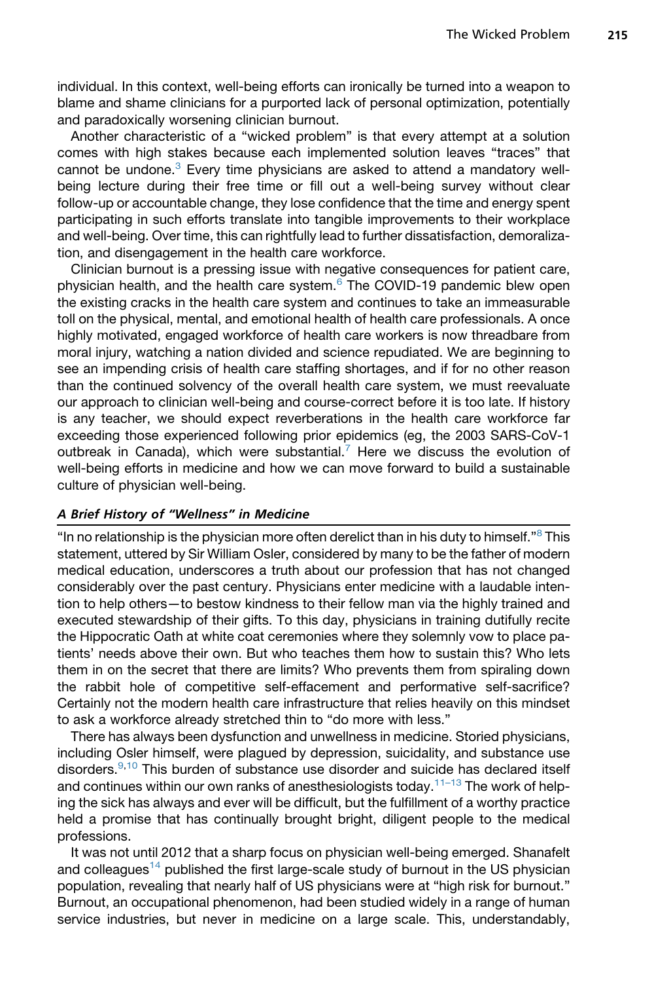individual. In this context, well-being efforts can ironically be turned into a weapon to blame and shame clinicians for a purported lack of personal optimization, potentially and paradoxically worsening clinician burnout.

Another characteristic of a "wicked problem" is that every attempt at a solution comes with high stakes because each implemented solution leaves "traces" that cannot be undone.<sup>[3](#page-8-2)</sup> Every time physicians are asked to attend a mandatory wellbeing lecture during their free time or fill out a well-being survey without clear follow-up or accountable change, they lose confidence that the time and energy spent participating in such efforts translate into tangible improvements to their workplace and well-being. Over time, this can rightfully lead to further dissatisfaction, demoralization, and disengagement in the health care workforce.

Clinician burnout is a pressing issue with negative consequences for patient care, physician health, and the health care system.[6](#page-8-5) The COVID-19 pandemic blew open the existing cracks in the health care system and continues to take an immeasurable toll on the physical, mental, and emotional health of health care professionals. A once highly motivated, engaged workforce of health care workers is now threadbare from moral injury, watching a nation divided and science repudiated. We are beginning to see an impending crisis of health care staffing shortages, and if for no other reason than the continued solvency of the overall health care system, we must reevaluate our approach to clinician well-being and course-correct before it is too late. If history is any teacher, we should expect reverberations in the health care workforce far exceeding those experienced following prior epidemics (eg, the 2003 SARS-CoV-1 outbreak in Canada), which were substantial.<sup>[7](#page-8-6)</sup> Here we discuss the evolution of well-being efforts in medicine and how we can move forward to build a sustainable culture of physician well-being.

# A Brief History of "Wellness" in Medicine

"In no relationship is the physician more often derelict than in his duty to himself." $8$  This statement, uttered by Sir William Osler, considered by many to be the father of modern medical education, underscores a truth about our profession that has not changed considerably over the past century. Physicians enter medicine with a laudable intention to help others—to bestow kindness to their fellow man via the highly trained and executed stewardship of their gifts. To this day, physicians in training dutifully recite the Hippocratic Oath at white coat ceremonies where they solemnly vow to place patients' needs above their own. But who teaches them how to sustain this? Who lets them in on the secret that there are limits? Who prevents them from spiraling down the rabbit hole of competitive self-effacement and performative self-sacrifice? Certainly not the modern health care infrastructure that relies heavily on this mindset to ask a workforce already stretched thin to "do more with less."

There has always been dysfunction and unwellness in medicine. Storied physicians, including Osler himself, were plagued by depression, suicidality, and substance use disorders.<sup>[9,](#page-8-8)[10](#page-8-9)</sup> This burden of substance use disorder and suicide has declared itself and continues within our own ranks of anesthesiologists today.<sup>[11–13](#page-8-10)</sup> The work of helping the sick has always and ever will be difficult, but the fulfillment of a worthy practice held a promise that has continually brought bright, diligent people to the medical professions.

It was not until 2012 that a sharp focus on physician well-being emerged. Shanafelt and colleagues<sup>[14](#page-9-0)</sup> published the first large-scale study of burnout in the US physician population, revealing that nearly half of US physicians were at "high risk for burnout." Burnout, an occupational phenomenon, had been studied widely in a range of human service industries, but never in medicine on a large scale. This, understandably,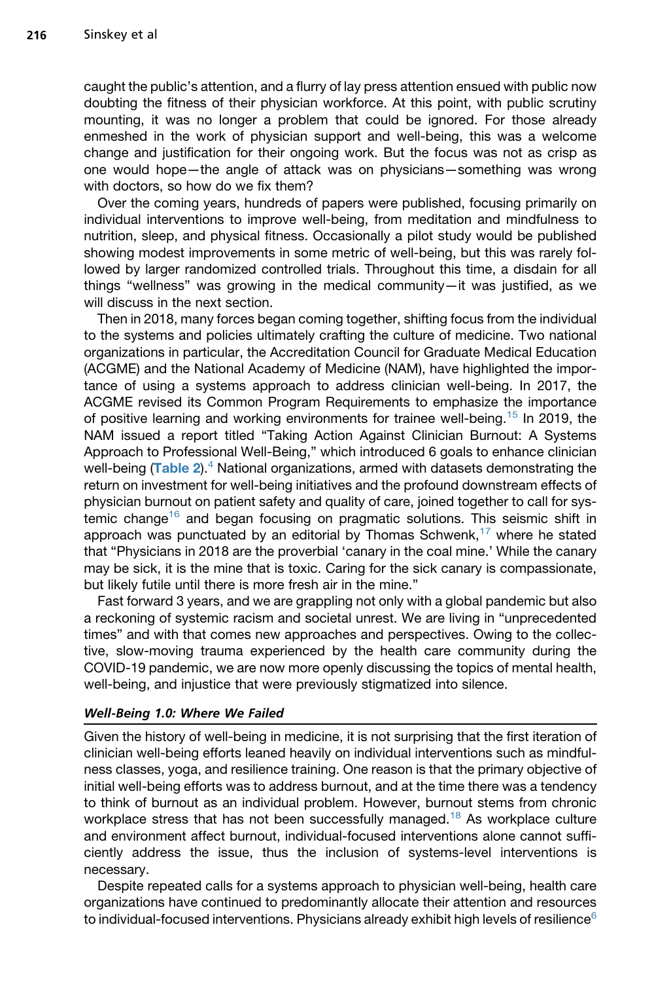caught the public's attention, and a flurry of lay press attention ensued with public now doubting the fitness of their physician workforce. At this point, with public scrutiny mounting, it was no longer a problem that could be ignored. For those already enmeshed in the work of physician support and well-being, this was a welcome change and justification for their ongoing work. But the focus was not as crisp as one would hope—the angle of attack was on physicians—something was wrong with doctors, so how do we fix them?

Over the coming years, hundreds of papers were published, focusing primarily on individual interventions to improve well-being, from meditation and mindfulness to nutrition, sleep, and physical fitness. Occasionally a pilot study would be published showing modest improvements in some metric of well-being, but this was rarely followed by larger randomized controlled trials. Throughout this time, a disdain for all things "wellness" was growing in the medical community—it was justified, as we will discuss in the next section.

Then in 2018, many forces began coming together, shifting focus from the individual to the systems and policies ultimately crafting the culture of medicine. Two national organizations in particular, the Accreditation Council for Graduate Medical Education (ACGME) and the National Academy of Medicine (NAM), have highlighted the importance of using a systems approach to address clinician well-being. In 2017, the ACGME revised its Common Program Requirements to emphasize the importance of positive learning and working environments for trainee well-being.<sup>[15](#page-9-1)</sup> In 2019, the NAM issued a report titled "Taking Action Against Clinician Burnout: A Systems Approach to Professional Well-Being," which introduced 6 goals to enhance clinician well-being  $(Table 2)$  $(Table 2)$  $(Table 2)$ .<sup>4</sup> National organizations, armed with datasets demonstrating the return on investment for well-being initiatives and the profound downstream effects of physician burnout on patient safety and quality of care, joined together to call for sys-temic change<sup>[16](#page-9-2)</sup> and began focusing on pragmatic solutions. This seismic shift in approach was punctuated by an editorial by Thomas Schwenk,<sup>[17](#page-9-3)</sup> where he stated that "Physicians in 2018 are the proverbial 'canary in the coal mine.' While the canary may be sick, it is the mine that is toxic. Caring for the sick canary is compassionate, but likely futile until there is more fresh air in the mine."

Fast forward 3 years, and we are grappling not only with a global pandemic but also a reckoning of systemic racism and societal unrest. We are living in "unprecedented times" and with that comes new approaches and perspectives. Owing to the collective, slow-moving trauma experienced by the health care community during the COVID-19 pandemic, we are now more openly discussing the topics of mental health, well-being, and injustice that were previously stigmatized into silence.

#### Well-Being 1.0: Where We Failed

Given the history of well-being in medicine, it is not surprising that the first iteration of clinician well-being efforts leaned heavily on individual interventions such as mindfulness classes, yoga, and resilience training. One reason is that the primary objective of initial well-being efforts was to address burnout, and at the time there was a tendency to think of burnout as an individual problem. However, burnout stems from chronic workplace stress that has not been successfully managed.<sup>[18](#page-9-4)</sup> As workplace culture and environment affect burnout, individual-focused interventions alone cannot sufficiently address the issue, thus the inclusion of systems-level interventions is necessary.

Despite repeated calls for a systems approach to physician well-being, health care organizations have continued to predominantly allocate their attention and resources to individual-focused interventions. Physicians already exhibit high levels of resilience $6$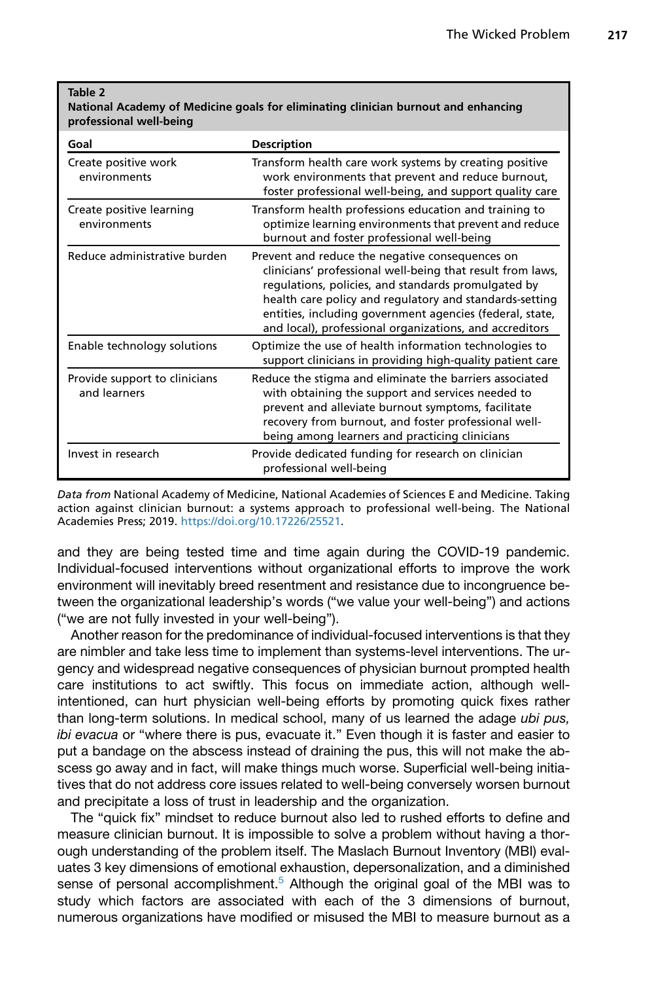#### <span id="page-4-0"></span>Table 2

#### National Academy of Medicine goals for eliminating clinician burnout and enhancing professional well-being

| Goal                                          | <b>Description</b>                                                                                                                                                                                                                                                                                                                                     |
|-----------------------------------------------|--------------------------------------------------------------------------------------------------------------------------------------------------------------------------------------------------------------------------------------------------------------------------------------------------------------------------------------------------------|
| Create positive work<br>environments          | Transform health care work systems by creating positive<br>work environments that prevent and reduce burnout,<br>foster professional well-being, and support quality care                                                                                                                                                                              |
| Create positive learning<br>environments      | Transform health professions education and training to<br>optimize learning environments that prevent and reduce<br>burnout and foster professional well-being                                                                                                                                                                                         |
| Reduce administrative burden                  | Prevent and reduce the negative consequences on<br>clinicians' professional well-being that result from laws,<br>regulations, policies, and standards promulgated by<br>health care policy and regulatory and standards-setting<br>entities, including government agencies (federal, state,<br>and local), professional organizations, and accreditors |
| Enable technology solutions                   | Optimize the use of health information technologies to<br>support clinicians in providing high-quality patient care                                                                                                                                                                                                                                    |
| Provide support to clinicians<br>and learners | Reduce the stigma and eliminate the barriers associated<br>with obtaining the support and services needed to<br>prevent and alleviate burnout symptoms, facilitate<br>recovery from burnout, and foster professional well-<br>being among learners and practicing clinicians                                                                           |
| Invest in research                            | Provide dedicated funding for research on clinician<br>professional well-being                                                                                                                                                                                                                                                                         |

Data from National Academy of Medicine, National Academies of Sciences E and Medicine. Taking action against clinician burnout: a systems approach to professional well-being. The National Academies Press; 2019. <https://doi.org/10.17226/25521>.

and they are being tested time and time again during the COVID-19 pandemic. Individual-focused interventions without organizational efforts to improve the work environment will inevitably breed resentment and resistance due to incongruence between the organizational leadership's words ("we value your well-being") and actions ("we are not fully invested in your well-being").

Another reason for the predominance of individual-focused interventions is that they are nimbler and take less time to implement than systems-level interventions. The urgency and widespread negative consequences of physician burnout prompted health care institutions to act swiftly. This focus on immediate action, although wellintentioned, can hurt physician well-being efforts by promoting quick fixes rather than long-term solutions. In medical school, many of us learned the adage *ubi pus, ibi evacua* or "where there is pus, evacuate it." Even though it is faster and easier to put a bandage on the abscess instead of draining the pus, this will not make the abscess go away and in fact, will make things much worse. Superficial well-being initiatives that do not address core issues related to well-being conversely worsen burnout and precipitate a loss of trust in leadership and the organization.

The "quick fix" mindset to reduce burnout also led to rushed efforts to define and measure clinician burnout. It is impossible to solve a problem without having a thorough understanding of the problem itself. The Maslach Burnout Inventory (MBI) evaluates 3 key dimensions of emotional exhaustion, depersonalization, and a diminished sense of personal accomplishment.<sup>[5](#page-8-4)</sup> Although the original goal of the MBI was to study which factors are associated with each of the 3 dimensions of burnout, numerous organizations have modified or misused the MBI to measure burnout as a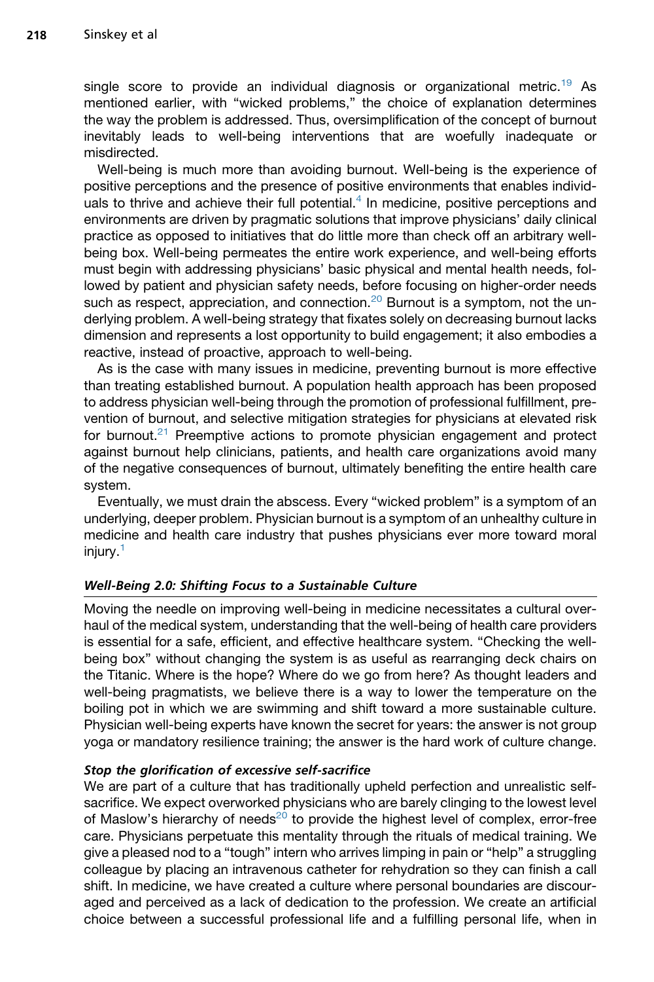single score to provide an individual diagnosis or organizational metric.<sup>[19](#page-9-5)</sup> As mentioned earlier, with "wicked problems," the choice of explanation determines the way the problem is addressed. Thus, oversimplification of the concept of burnout inevitably leads to well-being interventions that are woefully inadequate or misdirected.

Well-being is much more than avoiding burnout. Well-being is the experience of positive perceptions and the presence of positive environments that enables individ-uals to thrive and achieve their full potential.<sup>[4](#page-8-3)</sup> In medicine, positive perceptions and environments are driven by pragmatic solutions that improve physicians' daily clinical practice as opposed to initiatives that do little more than check off an arbitrary wellbeing box. Well-being permeates the entire work experience, and well-being efforts must begin with addressing physicians' basic physical and mental health needs, followed by patient and physician safety needs, before focusing on higher-order needs such as respect, appreciation, and connection.<sup>[20](#page-9-6)</sup> Burnout is a symptom, not the underlying problem. A well-being strategy that fixates solely on decreasing burnout lacks dimension and represents a lost opportunity to build engagement; it also embodies a reactive, instead of proactive, approach to well-being.

As is the case with many issues in medicine, preventing burnout is more effective than treating established burnout. A population health approach has been proposed to address physician well-being through the promotion of professional fulfillment, prevention of burnout, and selective mitigation strategies for physicians at elevated risk for burnout.<sup>[21](#page-9-7)</sup> Preemptive actions to promote physician engagement and protect against burnout help clinicians, patients, and health care organizations avoid many of the negative consequences of burnout, ultimately benefiting the entire health care system.

Eventually, we must drain the abscess. Every "wicked problem" is a symptom of an underlying, deeper problem. Physician burnout is a symptom of an unhealthy culture in medicine and health care industry that pushes physicians ever more toward moral injury.[1](#page-8-0)

#### Well-Being 2.0: Shifting Focus to a Sustainable Culture

Moving the needle on improving well-being in medicine necessitates a cultural overhaul of the medical system, understanding that the well-being of health care providers is essential for a safe, efficient, and effective healthcare system. "Checking the wellbeing box" without changing the system is as useful as rearranging deck chairs on the Titanic. Where is the hope? Where do we go from here? As thought leaders and well-being pragmatists, we believe there is a way to lower the temperature on the boiling pot in which we are swimming and shift toward a more sustainable culture. Physician well-being experts have known the secret for years: the answer is not group yoga or mandatory resilience training; the answer is the hard work of culture change.

#### Stop the glorification of excessive self-sacrifice

We are part of a culture that has traditionally upheld perfection and unrealistic selfsacrifice. We expect overworked physicians who are barely clinging to the lowest level of Maslow's hierarchy of needs<sup>20</sup> to provide the highest level of complex, error-free care. Physicians perpetuate this mentality through the rituals of medical training. We give a pleased nod to a "tough" intern who arrives limping in pain or "help" a struggling colleague by placing an intravenous catheter for rehydration so they can finish a call shift. In medicine, we have created a culture where personal boundaries are discouraged and perceived as a lack of dedication to the profession. We create an artificial choice between a successful professional life and a fulfilling personal life, when in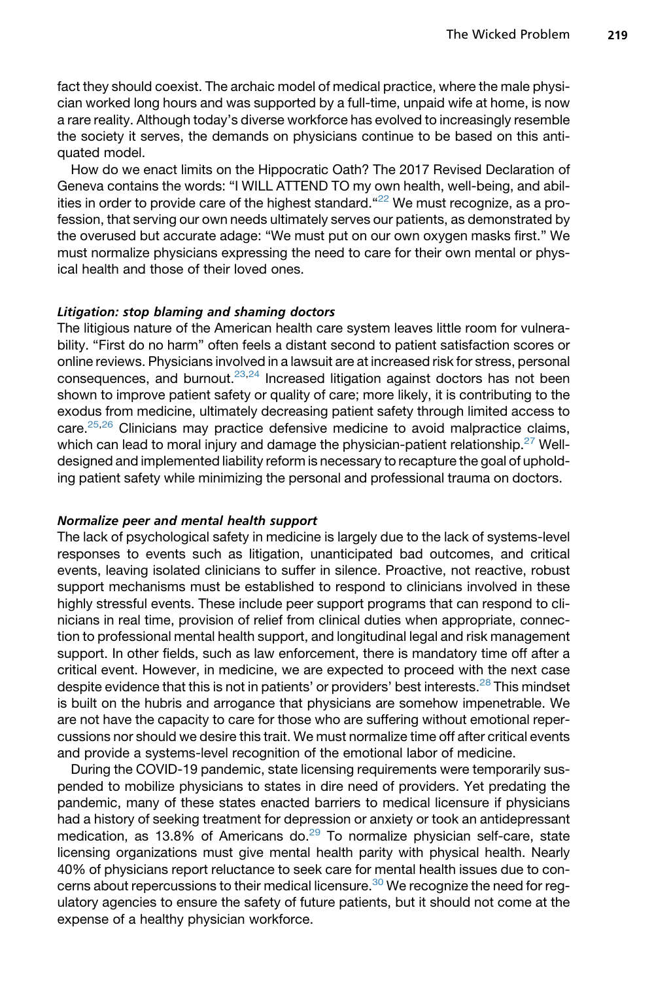fact they should coexist. The archaic model of medical practice, where the male physician worked long hours and was supported by a full-time, unpaid wife at home, is now a rare reality. Although today's diverse workforce has evolved to increasingly resemble the society it serves, the demands on physicians continue to be based on this antiquated model.

How do we enact limits on the Hippocratic Oath? The 2017 Revised Declaration of Geneva contains the words: "I WILL ATTEND TO my own health, well-being, and abilities in order to provide care of the highest standard.  $22$  We must recognize, as a profession, that serving our own needs ultimately serves our patients, as demonstrated by the overused but accurate adage: "We must put on our own oxygen masks first." We must normalize physicians expressing the need to care for their own mental or physical health and those of their loved ones.

#### Litigation: stop blaming and shaming doctors

The litigious nature of the American health care system leaves little room for vulnerability. "First do no harm" often feels a distant second to patient satisfaction scores or online reviews. Physicians involved in a lawsuit are at increased risk for stress, personal consequences, and burnout. $23,24$  $23,24$  Increased litigation against doctors has not been shown to improve patient safety or quality of care; more likely, it is contributing to the exodus from medicine, ultimately decreasing patient safety through limited access to care. $25,26$  $25,26$  Clinicians may practice defensive medicine to avoid malpractice claims, which can lead to moral injury and damage the physician-patient relationship.<sup>[27](#page-9-13)</sup> Welldesigned and implemented liability reform is necessary to recapture the goal of upholding patient safety while minimizing the personal and professional trauma on doctors.

#### Normalize peer and mental health support

The lack of psychological safety in medicine is largely due to the lack of systems-level responses to events such as litigation, unanticipated bad outcomes, and critical events, leaving isolated clinicians to suffer in silence. Proactive, not reactive, robust support mechanisms must be established to respond to clinicians involved in these highly stressful events. These include peer support programs that can respond to clinicians in real time, provision of relief from clinical duties when appropriate, connection to professional mental health support, and longitudinal legal and risk management support. In other fields, such as law enforcement, there is mandatory time off after a critical event. However, in medicine, we are expected to proceed with the next case despite evidence that this is not in patients' or providers' best interests.<sup>[28](#page-9-14)</sup> This mindset is built on the hubris and arrogance that physicians are somehow impenetrable. We are not have the capacity to care for those who are suffering without emotional repercussions nor should we desire this trait. We must normalize time off after critical events and provide a systems-level recognition of the emotional labor of medicine.

During the COVID-19 pandemic, state licensing requirements were temporarily suspended to mobilize physicians to states in dire need of providers. Yet predating the pandemic, many of these states enacted barriers to medical licensure if physicians had a history of seeking treatment for depression or anxiety or took an antidepressant medication, as 13.8% of Americans do. $29$  To normalize physician self-care, state licensing organizations must give mental health parity with physical health. Nearly 40% of physicians report reluctance to seek care for mental health issues due to con-cerns about repercussions to their medical licensure.<sup>[30](#page-9-16)</sup> We recognize the need for regulatory agencies to ensure the safety of future patients, but it should not come at the expense of a healthy physician workforce.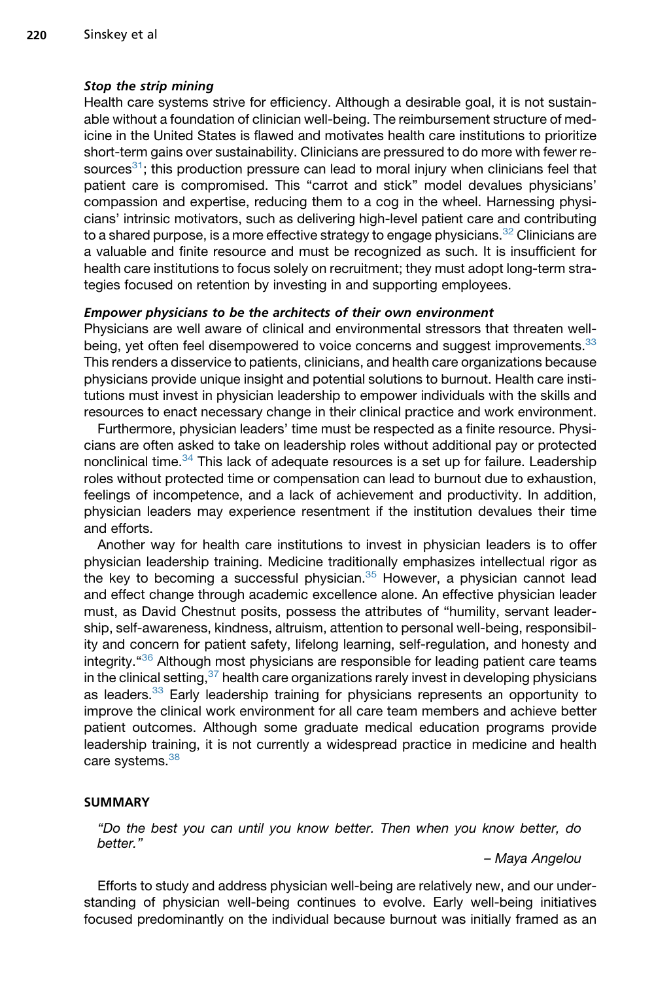#### Stop the strip mining

Health care systems strive for efficiency. Although a desirable goal, it is not sustainable without a foundation of clinician well-being. The reimbursement structure of medicine in the United States is flawed and motivates health care institutions to prioritize short-term gains over sustainability. Clinicians are pressured to do more with fewer resources<sup>31</sup>; this production pressure can lead to moral injury when clinicians feel that patient care is compromised. This "carrot and stick" model devalues physicians' compassion and expertise, reducing them to a cog in the wheel. Harnessing physicians' intrinsic motivators, such as delivering high-level patient care and contributing to a shared purpose, is a more effective strategy to engage physicians.<sup>[32](#page-10-1)</sup> Clinicians are a valuable and finite resource and must be recognized as such. It is insufficient for health care institutions to focus solely on recruitment; they must adopt long-term strategies focused on retention by investing in and supporting employees.

#### Empower physicians to be the architects of their own environment

Physicians are well aware of clinical and environmental stressors that threaten well-being, yet often feel disempowered to voice concerns and suggest improvements.<sup>[33](#page-10-2)</sup> This renders a disservice to patients, clinicians, and health care organizations because physicians provide unique insight and potential solutions to burnout. Health care institutions must invest in physician leadership to empower individuals with the skills and resources to enact necessary change in their clinical practice and work environment.

Furthermore, physician leaders' time must be respected as a finite resource. Physicians are often asked to take on leadership roles without additional pay or protected nonclinical time.<sup>[34](#page-10-3)</sup> This lack of adequate resources is a set up for failure. Leadership roles without protected time or compensation can lead to burnout due to exhaustion, feelings of incompetence, and a lack of achievement and productivity. In addition, physician leaders may experience resentment if the institution devalues their time and efforts.

Another way for health care institutions to invest in physician leaders is to offer physician leadership training. Medicine traditionally emphasizes intellectual rigor as the key to becoming a successful physician. $35$  However, a physician cannot lead and effect change through academic excellence alone. An effective physician leader must, as David Chestnut posits, possess the attributes of "humility, servant leadership, self-awareness, kindness, altruism, attention to personal well-being, responsibility and concern for patient safety, lifelong learning, self-regulation, and honesty and integrity."[36](#page-10-5) Although most physicians are responsible for leading patient care teams in the clinical setting,  $37$  health care organizations rarely invest in developing physicians as leaders.<sup>[33](#page-10-2)</sup> Early leadership training for physicians represents an opportunity to improve the clinical work environment for all care team members and achieve better patient outcomes. Although some graduate medical education programs provide leadership training, it is not currently a widespread practice in medicine and health care systems.<sup>[38](#page-10-7)</sup>

#### SUMMARY

*"Do the best you can until you know better. Then when you know better, do better."*

*– Maya Angelou*

Efforts to study and address physician well-being are relatively new, and our understanding of physician well-being continues to evolve. Early well-being initiatives focused predominantly on the individual because burnout was initially framed as an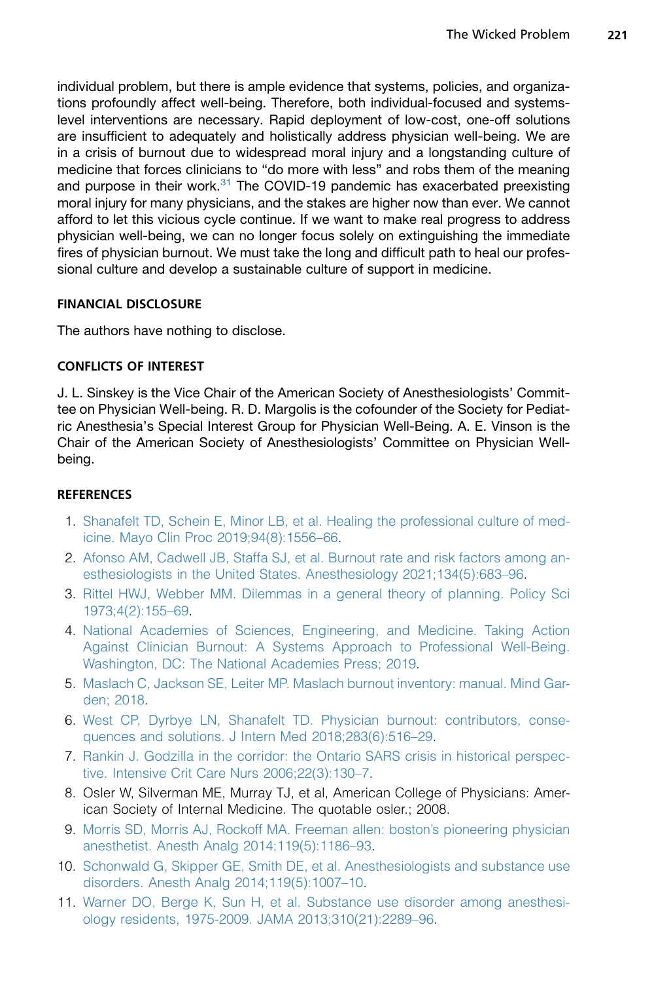individual problem, but there is ample evidence that systems, policies, and organizations profoundly affect well-being. Therefore, both individual-focused and systemslevel interventions are necessary. Rapid deployment of low-cost, one-off solutions are insufficient to adequately and holistically address physician well-being. We are in a crisis of burnout due to widespread moral injury and a longstanding culture of medicine that forces clinicians to "do more with less" and robs them of the meaning and purpose in their work. $31$  The COVID-19 pandemic has exacerbated preexisting moral injury for many physicians, and the stakes are higher now than ever. We cannot afford to let this vicious cycle continue. If we want to make real progress to address physician well-being, we can no longer focus solely on extinguishing the immediate fires of physician burnout. We must take the long and difficult path to heal our professional culture and develop a sustainable culture of support in medicine.

# FINANCIAL DISCLOSURE

The authors have nothing to disclose.

## CONFLICTS OF INTEREST

J. L. Sinskey is the Vice Chair of the American Society of Anesthesiologists' Committee on Physician Well-being. R. D. Margolis is the cofounder of the Society for Pediatric Anesthesia's Special Interest Group for Physician Well-Being. A. E. Vinson is the Chair of the American Society of Anesthesiologists' Committee on Physician Wellbeing.

# **REFERENCES**

- <span id="page-8-0"></span>1. [Shanafelt TD, Schein E, Minor LB, et al. Healing the professional culture of med](http://refhub.elsevier.com/S1932-2275(22)00001-5/sref1)[icine. Mayo Clin Proc 2019;94\(8\):1556–66](http://refhub.elsevier.com/S1932-2275(22)00001-5/sref1).
- <span id="page-8-1"></span>2. [Afonso AM, Cadwell JB, Staffa SJ, et al. Burnout rate and risk factors among an](http://refhub.elsevier.com/S1932-2275(22)00001-5/sref2)[esthesiologists in the United States. Anesthesiology 2021;134\(5\):683–96.](http://refhub.elsevier.com/S1932-2275(22)00001-5/sref2)
- <span id="page-8-3"></span><span id="page-8-2"></span>3. [Rittel HWJ, Webber MM. Dilemmas in a general theory of planning. Policy Sci](http://refhub.elsevier.com/S1932-2275(22)00001-5/sref3) [1973;4\(2\):155–69.](http://refhub.elsevier.com/S1932-2275(22)00001-5/sref3)
- 4. [National Academies of Sciences, Engineering, and Medicine. Taking Action](http://refhub.elsevier.com/S1932-2275(22)00001-5/sref4) [Against Clinician Burnout: A Systems Approach to Professional Well-Being.](http://refhub.elsevier.com/S1932-2275(22)00001-5/sref4) [Washington, DC: The National Academies Press; 2019.](http://refhub.elsevier.com/S1932-2275(22)00001-5/sref4)
- <span id="page-8-5"></span><span id="page-8-4"></span>5. [Maslach C, Jackson SE, Leiter MP. Maslach burnout inventory: manual. Mind Gar](http://refhub.elsevier.com/S1932-2275(22)00001-5/sref5)[den; 2018](http://refhub.elsevier.com/S1932-2275(22)00001-5/sref5).
- <span id="page-8-6"></span>6. [West CP, Dyrbye LN, Shanafelt TD. Physician burnout: contributors, conse](http://refhub.elsevier.com/S1932-2275(22)00001-5/sref6)[quences and solutions. J Intern Med 2018;283\(6\):516–29.](http://refhub.elsevier.com/S1932-2275(22)00001-5/sref6)
- <span id="page-8-7"></span>7. [Rankin J. Godzilla in the corridor: the Ontario SARS crisis in historical perspec](http://refhub.elsevier.com/S1932-2275(22)00001-5/sref7)[tive. Intensive Crit Care Nurs 2006;22\(3\):130–7.](http://refhub.elsevier.com/S1932-2275(22)00001-5/sref7)
- <span id="page-8-8"></span>8. Osler W, Silverman ME, Murray TJ, et al, American College of Physicians: American Society of Internal Medicine. The quotable osler.; 2008.
- <span id="page-8-9"></span>9. [Morris SD, Morris AJ, Rockoff MA. Freeman allen: boston's pioneering physician](http://refhub.elsevier.com/S1932-2275(22)00001-5/sref9) [anesthetist. Anesth Analg 2014;119\(5\):1186–93](http://refhub.elsevier.com/S1932-2275(22)00001-5/sref9).
- <span id="page-8-10"></span>10. [Schonwald G, Skipper GE, Smith DE, et al. Anesthesiologists and substance use](http://refhub.elsevier.com/S1932-2275(22)00001-5/sref10) [disorders. Anesth Analg 2014;119\(5\):1007–10.](http://refhub.elsevier.com/S1932-2275(22)00001-5/sref10)
- 11. [Warner DO, Berge K, Sun H, et al. Substance use disorder among anesthesi](http://refhub.elsevier.com/S1932-2275(22)00001-5/sref11)[ology residents, 1975-2009. JAMA 2013;310\(21\):2289–96.](http://refhub.elsevier.com/S1932-2275(22)00001-5/sref11)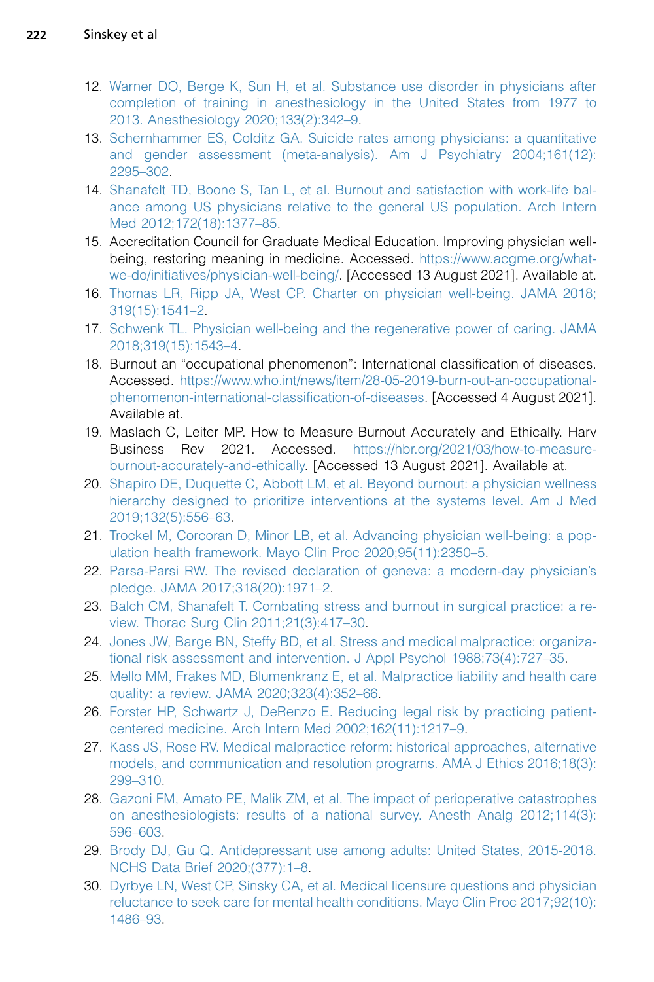- 12. [Warner DO, Berge K, Sun H, et al. Substance use disorder in physicians after](http://refhub.elsevier.com/S1932-2275(22)00001-5/sref12) [completion of training in anesthesiology in the United States from 1977 to](http://refhub.elsevier.com/S1932-2275(22)00001-5/sref12) [2013. Anesthesiology 2020;133\(2\):342–9.](http://refhub.elsevier.com/S1932-2275(22)00001-5/sref12)
- 13. [Schernhammer ES, Colditz GA. Suicide rates among physicians: a quantitative](http://refhub.elsevier.com/S1932-2275(22)00001-5/sref13) [and gender assessment \(meta-analysis\). Am J Psychiatry 2004;161\(12\):](http://refhub.elsevier.com/S1932-2275(22)00001-5/sref13) [2295–302](http://refhub.elsevier.com/S1932-2275(22)00001-5/sref13).
- <span id="page-9-0"></span>14. [Shanafelt TD, Boone S, Tan L, et al. Burnout and satisfaction with work-life bal](http://refhub.elsevier.com/S1932-2275(22)00001-5/sref14)[ance among US physicians relative to the general US population. Arch Intern](http://refhub.elsevier.com/S1932-2275(22)00001-5/sref14) [Med 2012;172\(18\):1377–85](http://refhub.elsevier.com/S1932-2275(22)00001-5/sref14).
- <span id="page-9-1"></span>15. Accreditation Council for Graduate Medical Education. Improving physician wellbeing, restoring meaning in medicine. Accessed. [https://www.acgme.org/what](https://www.acgme.org/what-we-do/initiatives/physician-well-being/)[we-do/initiatives/physician-well-being/.](https://www.acgme.org/what-we-do/initiatives/physician-well-being/) [Accessed 13 August 2021]. Available at.
- <span id="page-9-2"></span>16. [Thomas LR, Ripp JA, West CP. Charter on physician well-being. JAMA 2018;](http://refhub.elsevier.com/S1932-2275(22)00001-5/sref16) [319\(15\):1541–2.](http://refhub.elsevier.com/S1932-2275(22)00001-5/sref16)
- <span id="page-9-3"></span>17. [Schwenk TL. Physician well-being and the regenerative power of caring. JAMA](http://refhub.elsevier.com/S1932-2275(22)00001-5/sref17) [2018;319\(15\):1543–4](http://refhub.elsevier.com/S1932-2275(22)00001-5/sref17).
- <span id="page-9-4"></span>18. Burnout an "occupational phenomenon": International classification of diseases. Accessed. [https://www.who.int/news/item/28-05-2019-burn-out-an-occupational](https://www.who.int/news/item/28-05-2019-burn-out-an-occupational-phenomenon-international-classification-of-diseases)[phenomenon-international-classification-of-diseases](https://www.who.int/news/item/28-05-2019-burn-out-an-occupational-phenomenon-international-classification-of-diseases). [Accessed 4 August 2021]. Available at.
- <span id="page-9-5"></span>19. Maslach C, Leiter MP. How to Measure Burnout Accurately and Ethically. Harv Business Rev 2021. Accessed. [https://hbr.org/2021/03/how-to-measure](https://hbr.org/2021/03/how-to-measure-burnout-accurately-and-ethically)[burnout-accurately-and-ethically.](https://hbr.org/2021/03/how-to-measure-burnout-accurately-and-ethically) [Accessed 13 August 2021]. Available at.
- <span id="page-9-6"></span>20. [Shapiro DE, Duquette C, Abbott LM, et al. Beyond burnout: a physician wellness](http://refhub.elsevier.com/S1932-2275(22)00001-5/sref20) [hierarchy designed to prioritize interventions at the systems level. Am J Med](http://refhub.elsevier.com/S1932-2275(22)00001-5/sref20) [2019;132\(5\):556–63](http://refhub.elsevier.com/S1932-2275(22)00001-5/sref20).
- <span id="page-9-8"></span><span id="page-9-7"></span>21. [Trockel M, Corcoran D, Minor LB, et al. Advancing physician well-being: a pop](http://refhub.elsevier.com/S1932-2275(22)00001-5/sref21)[ulation health framework. Mayo Clin Proc 2020;95\(11\):2350–5](http://refhub.elsevier.com/S1932-2275(22)00001-5/sref21).
- <span id="page-9-9"></span>22. [Parsa-Parsi RW. The revised declaration of geneva: a modern-day physician's](http://refhub.elsevier.com/S1932-2275(22)00001-5/sref22) [pledge. JAMA 2017;318\(20\):1971–2.](http://refhub.elsevier.com/S1932-2275(22)00001-5/sref22)
- <span id="page-9-10"></span>23. [Balch CM, Shanafelt T. Combating stress and burnout in surgical practice: a re](http://refhub.elsevier.com/S1932-2275(22)00001-5/sref23)[view. Thorac Surg Clin 2011;21\(3\):417–30](http://refhub.elsevier.com/S1932-2275(22)00001-5/sref23).
- <span id="page-9-11"></span>24. [Jones JW, Barge BN, Steffy BD, et al. Stress and medical malpractice: organiza](http://refhub.elsevier.com/S1932-2275(22)00001-5/sref24)[tional risk assessment and intervention. J Appl Psychol 1988;73\(4\):727–35.](http://refhub.elsevier.com/S1932-2275(22)00001-5/sref24)
- <span id="page-9-12"></span>25. [Mello MM, Frakes MD, Blumenkranz E, et al. Malpractice liability and health care](http://refhub.elsevier.com/S1932-2275(22)00001-5/sref25) [quality: a review. JAMA 2020;323\(4\):352–66.](http://refhub.elsevier.com/S1932-2275(22)00001-5/sref25)
- <span id="page-9-13"></span>26. [Forster HP, Schwartz J, DeRenzo E. Reducing legal risk by practicing patient](http://refhub.elsevier.com/S1932-2275(22)00001-5/sref26)[centered medicine. Arch Intern Med 2002;162\(11\):1217–9.](http://refhub.elsevier.com/S1932-2275(22)00001-5/sref26)
- <span id="page-9-14"></span>27. [Kass JS, Rose RV. Medical malpractice reform: historical approaches, alternative](http://refhub.elsevier.com/S1932-2275(22)00001-5/sref27) [models, and communication and resolution programs. AMA J Ethics 2016;18\(3\):](http://refhub.elsevier.com/S1932-2275(22)00001-5/sref27) [299–310.](http://refhub.elsevier.com/S1932-2275(22)00001-5/sref27)
- <span id="page-9-15"></span>28. [Gazoni FM, Amato PE, Malik ZM, et al. The impact of perioperative catastrophes](http://refhub.elsevier.com/S1932-2275(22)00001-5/sref28) [on anesthesiologists: results of a national survey. Anesth Analg 2012;114\(3\):](http://refhub.elsevier.com/S1932-2275(22)00001-5/sref28) [596–603.](http://refhub.elsevier.com/S1932-2275(22)00001-5/sref28)
- <span id="page-9-16"></span>29. [Brody DJ, Gu Q. Antidepressant use among adults: United States, 2015-2018.](http://refhub.elsevier.com/S1932-2275(22)00001-5/sref29) [NCHS Data Brief 2020;\(377\):1–8](http://refhub.elsevier.com/S1932-2275(22)00001-5/sref29).
- 30. [Dyrbye LN, West CP, Sinsky CA, et al. Medical licensure questions and physician](http://refhub.elsevier.com/S1932-2275(22)00001-5/sref30) [reluctance to seek care for mental health conditions. Mayo Clin Proc 2017;92\(10\):](http://refhub.elsevier.com/S1932-2275(22)00001-5/sref30) [1486–93.](http://refhub.elsevier.com/S1932-2275(22)00001-5/sref30)